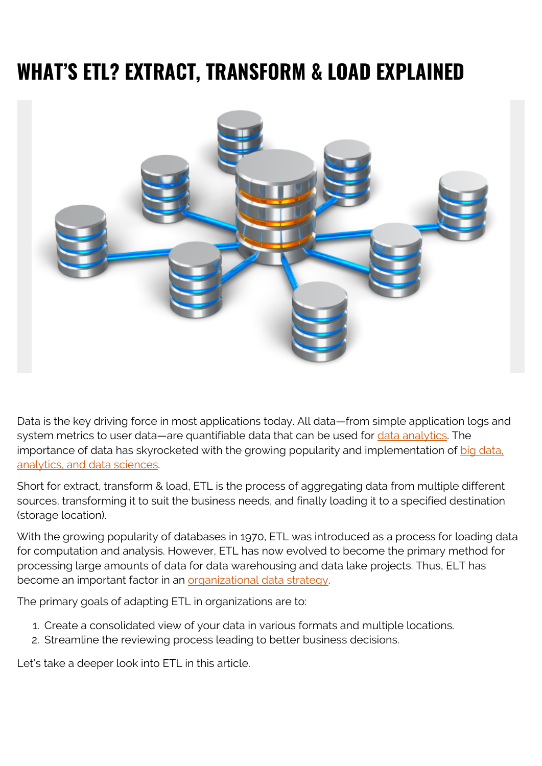# **WHAT'S ETL? EXTRACT, TRANSFORM & LOAD EXPLAINED**



Data is the key driving force in most applications today. All data—from simple application logs and system metrics to user data—are quantifiable data that can be used for [data analytics](https://blogs.bmc.com/blogs/data-analytics-vs-data-analysis). The importance of data has skyrocketed with the growing popularity and implementation of [big data,](https://blogs.bmc.com/blogs/big-data-vs-analytics/) [analytics, and data sciences.](https://blogs.bmc.com/blogs/big-data-vs-analytics/)

Short for extract, transform & load, ETL is the process of aggregating data from multiple different sources, transforming it to suit the business needs, and finally loading it to a specified destination (storage location).

With the growing popularity of databases in 1970, ETL was introduced as a process for loading data for computation and analysis. However, ETL has now evolved to become the primary method for processing large amounts of data for data warehousing and data lake projects. Thus, ELT has become an important factor in an [organizational data strategy.](https://blogs.bmc.com/blogs/data-strategy/)

The primary goals of adapting ETL in organizations are to:

- 1. Create a consolidated view of your data in various formats and multiple locations.
- 2. Streamline the reviewing process leading to better business decisions.

Let's take a deeper look into ETL in this article.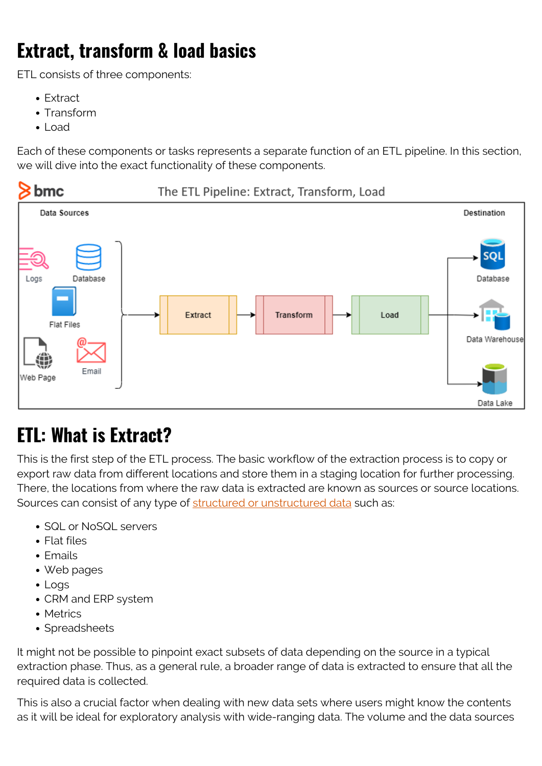# **Extract, transform & load basics**

ETL consists of three components:

- Extract
- Transform
- Load

Each of these components or tasks represents a separate function of an ETL pipeline. In this section, we will dive into the exact functionality of these components.



## **ETL: What is Extract?**

This is the first step of the ETL process. The basic workflow of the extraction process is to copy or export raw data from different locations and store them in a staging location for further processing. There, the locations from where the raw data is extracted are known as sources or source locations. Sources can consist of any type of [structured or unstructured data](https://blogs.bmc.com/blogs/structured-vs-unstructured-data/) such as:

- SQL or NoSQL servers
- Flat files
- $\bullet$  Emails
- Web pages
- Logs
- CRM and ERP system
- Metrics
- Spreadsheets

It might not be possible to pinpoint exact subsets of data depending on the source in a typical extraction phase. Thus, as a general rule, a broader range of data is extracted to ensure that all the required data is collected.

This is also a crucial factor when dealing with new data sets where users might know the contents as it will be ideal for exploratory analysis with wide-ranging data. The volume and the data sources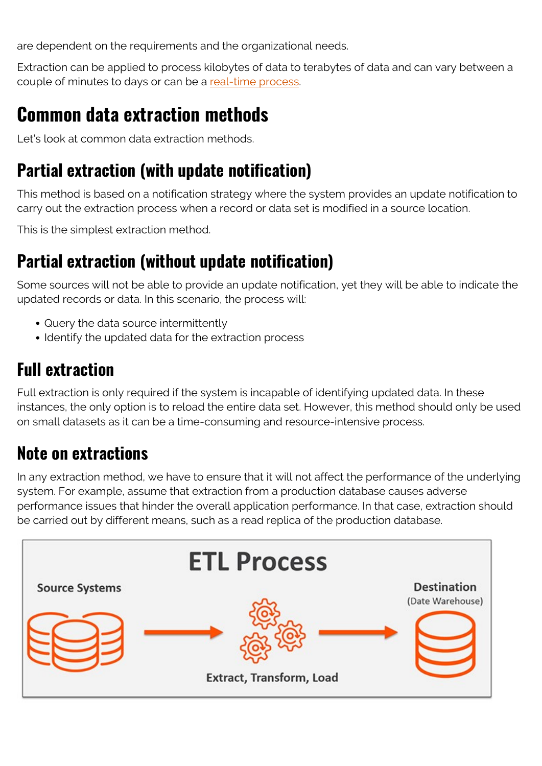are dependent on the requirements and the organizational needs.

Extraction can be applied to process kilobytes of data to terabytes of data and can vary between a couple of minutes to days or can be a [real-time process.](https://blogs.bmc.com/blogs/data-streaming/)

## **Common data extraction methods**

Let's look at common data extraction methods.

#### **Partial extraction (with update notification)**

This method is based on a notification strategy where the system provides an update notification to carry out the extraction process when a record or data set is modified in a source location.

This is the simplest extraction method.

#### **Partial extraction (without update notification)**

Some sources will not be able to provide an update notification, yet they will be able to indicate the updated records or data. In this scenario, the process will:

- Query the data source intermittently
- Identify the updated data for the extraction process

## **Full extraction**

Full extraction is only required if the system is incapable of identifying updated data. In these instances, the only option is to reload the entire data set. However, this method should only be used on small datasets as it can be a time-consuming and resource-intensive process.

#### **Note on extractions**

In any extraction method, we have to ensure that it will not affect the performance of the underlying system. For example, assume that extraction from a production database causes adverse performance issues that hinder the overall application performance. In that case, extraction should be carried out by different means, such as a read replica of the production database.

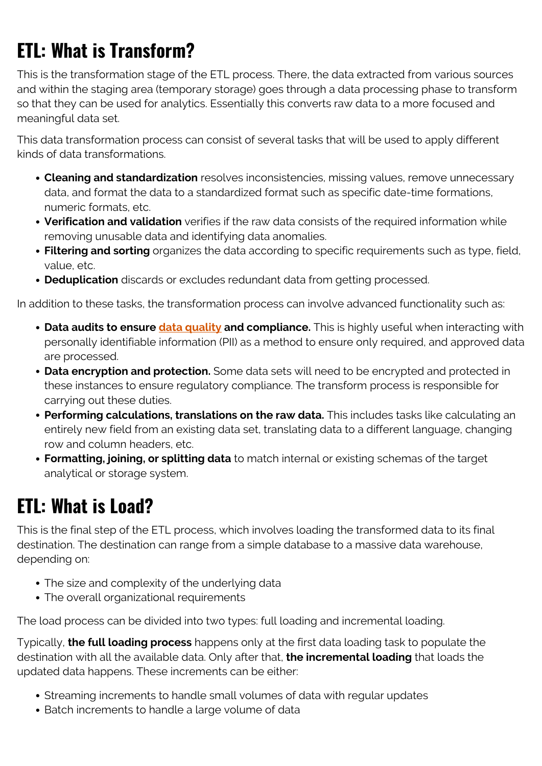# **ETL: What is Transform?**

This is the transformation stage of the ETL process. There, the data extracted from various sources and within the staging area (temporary storage) goes through a data processing phase to transform so that they can be used for analytics. Essentially this converts raw data to a more focused and meaningful data set.

This data transformation process can consist of several tasks that will be used to apply different kinds of data transformations.

- **Cleaning and standardization** resolves inconsistencies, missing values, remove unnecessary data, and format the data to a standardized format such as specific date-time formations, numeric formats, etc.
- **Verification and validation** verifies if the raw data consists of the required information while removing unusable data and identifying data anomalies.
- **Filtering and sorting** organizes the data according to specific requirements such as type, field, value, etc.
- **Deduplication** discards or excludes redundant data from getting processed.

In addition to these tasks, the transformation process can involve advanced functionality such as:

- **Data audits to ensure** *data quality* **and compliance.** This is highly useful when interacting with personally identifiable information (PII) as a method to ensure only required, and approved data are processed.
- **Data encryption and protection.** Some data sets will need to be encrypted and protected in these instances to ensure regulatory compliance. The transform process is responsible for carrying out these duties.
- **Performing calculations, translations on the raw data.** This includes tasks like calculating an entirely new field from an existing data set, translating data to a different language, changing row and column headers, etc.
- **Formatting, joining, or splitting data** to match internal or existing schemas of the target analytical or storage system.

## **ETL: What is Load?**

This is the final step of the ETL process, which involves loading the transformed data to its final destination. The destination can range from a simple database to a massive data warehouse, depending on:

- The size and complexity of the underlying data
- The overall organizational requirements

The load process can be divided into two types: full loading and incremental loading.

Typically, **the full loading process** happens only at the first data loading task to populate the destination with all the available data. Only after that, **the incremental loading** that loads the updated data happens. These increments can be either:

- Streaming increments to handle small volumes of data with regular updates
- Batch increments to handle a large volume of data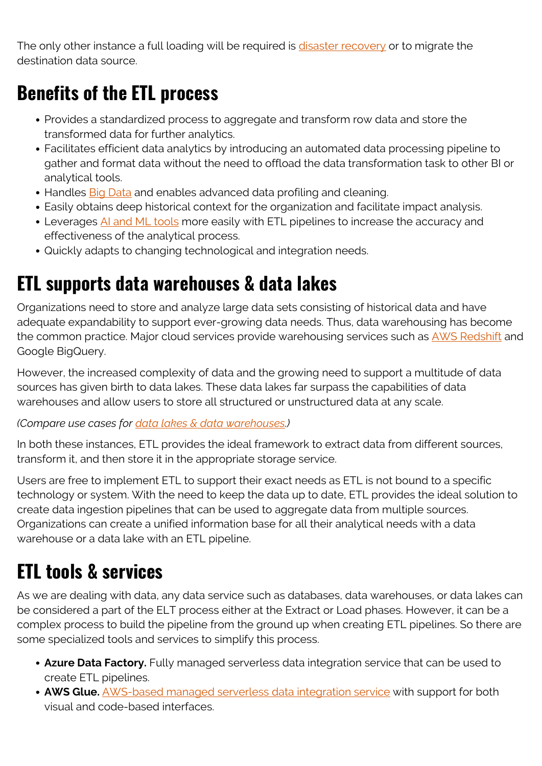The only other instance a full loading will be required is [disaster recovery](https://blogs.bmc.com/blogs/disaster-recovery-planning/) or to migrate the destination data source.

# **Benefits of the ETL process**

- Provides a standardized process to aggregate and transform row data and store the transformed data for further analytics.
- Facilitates efficient data analytics by introducing an automated data processing pipeline to gather and format data without the need to offload the data transformation task to other BI or analytical tools.
- Handles **Big Data** and enables advanced data profiling and cleaning.
- Easily obtains deep historical context for the organization and facilitate impact analysis.
- Leverages [AI and ML tools](https://blogs.bmc.com/blogs/artificial-intelligence-vs-machine-learning/) more easily with ETL pipelines to increase the accuracy and effectiveness of the analytical process.
- Quickly adapts to changing technological and integration needs.

#### **ETL supports data warehouses & data lakes**

Organizations need to store and analyze large data sets consisting of historical data and have adequate expandability to support ever-growing data needs. Thus, data warehousing has become the common practice. Major cloud services provide warehousing services such as [AWS Redshift](https://blogs.bmc.com/blogs/aws-redshift-vs-snowflake/) and Google BigQuery.

However, the increased complexity of data and the growing need to support a multitude of data sources has given birth to data lakes. These data lakes far surpass the capabilities of data warehouses and allow users to store all structured or unstructured data at any scale.

#### *(Compare use cases for [data lakes & data warehouses](https://blogs.bmc.com/blogs/data-lake-vs-data-warehouse-vs-database-whats-the-difference/).)*

In both these instances, ETL provides the ideal framework to extract data from different sources, transform it, and then store it in the appropriate storage service.

Users are free to implement ETL to support their exact needs as ETL is not bound to a specific technology or system. With the need to keep the data up to date, ETL provides the ideal solution to create data ingestion pipelines that can be used to aggregate data from multiple sources. Organizations can create a unified information base for all their analytical needs with a data warehouse or a data lake with an ETL pipeline.

# **ETL tools & services**

As we are dealing with data, any data service such as databases, data warehouses, or data lakes can be considered a part of the ELT process either at the Extract or Load phases. However, it can be a complex process to build the pipeline from the ground up when creating ETL pipelines. So there are some specialized tools and services to simplify this process.

- **Azure Data Factory.** Fully managed serverless data integration service that can be used to create ETL pipelines.
- **AWS Glue.** [AWS-based managed serverless data integration service](https://blogs.bmc.com/blogs/amazon-glue-crawler/) with support for both visual and code-based interfaces.